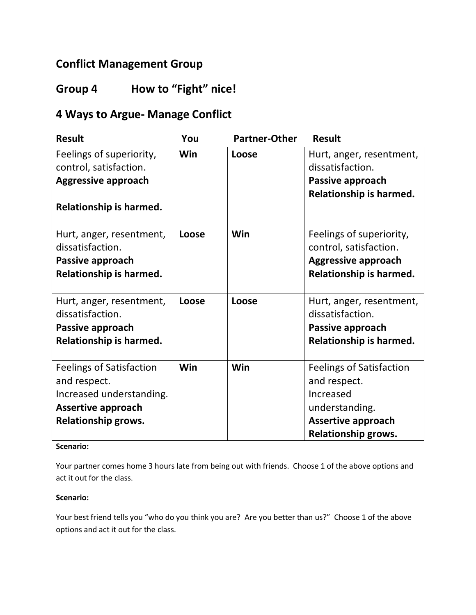### **Conflict Management Group**

# **Group 4 How to "Fight" nice!**

# **4 Ways to Argue- Manage Conflict**

| <b>Result</b>                                                                                                                   | You   | <b>Partner-Other</b> | <b>Result</b>                                                                                                                             |
|---------------------------------------------------------------------------------------------------------------------------------|-------|----------------------|-------------------------------------------------------------------------------------------------------------------------------------------|
| Feelings of superiority,<br>control, satisfaction.<br><b>Aggressive approach</b><br>Relationship is harmed.                     | Win   | Loose                | Hurt, anger, resentment,<br>dissatisfaction.<br>Passive approach<br>Relationship is harmed.                                               |
| Hurt, anger, resentment,<br>dissatisfaction.<br>Passive approach<br>Relationship is harmed.                                     | Loose | Win                  | Feelings of superiority,<br>control, satisfaction.<br><b>Aggressive approach</b><br>Relationship is harmed.                               |
| Hurt, anger, resentment,<br>dissatisfaction.<br>Passive approach<br>Relationship is harmed.                                     | Loose | Loose                | Hurt, anger, resentment,<br>dissatisfaction.<br>Passive approach<br>Relationship is harmed.                                               |
| <b>Feelings of Satisfaction</b><br>and respect.<br>Increased understanding.<br><b>Assertive approach</b><br>Relationship grows. | Win   | Win                  | <b>Feelings of Satisfaction</b><br>and respect.<br>Increased<br>understanding.<br><b>Assertive approach</b><br><b>Relationship grows.</b> |

### **Scenario:**

Your partner comes home 3 hours late from being out with friends. Choose 1 of the above options and act it out for the class.

#### **Scenario:**

Your best friend tells you "who do you think you are? Are you better than us?" Choose 1 of the above options and act it out for the class.